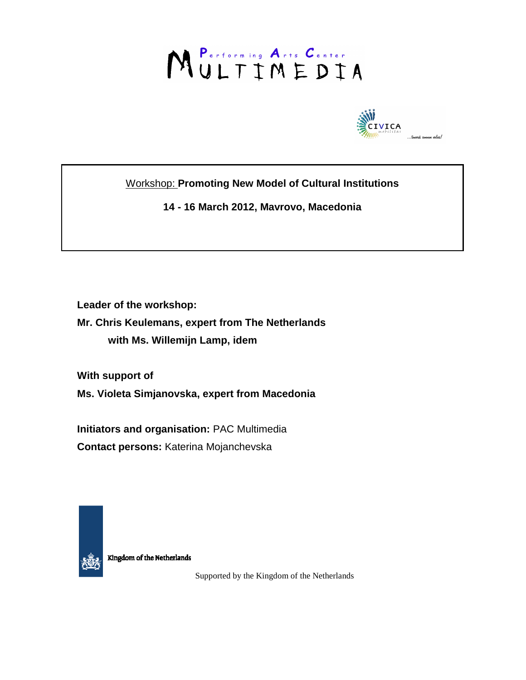# MULTIMEDIA



Workshop: **Promoting New Model of Cultural Institutions** 

**14 - 16 March 2012, Mavrovo, Macedonia** 

**Leader of the workshop:** 

**Mr. Chris Keulemans, expert from The Netherlands with Ms. Willemijn Lamp, idem** 

**With support of** 

**Ms. Violeta Simjanovska, expert from Macedonia** 

**Initiators and organisation:** PAC Multimedia **Contact persons:** Katerina Mojanchevska



Kingdom of the Netherlands

Supported by the Kingdom of the Netherlands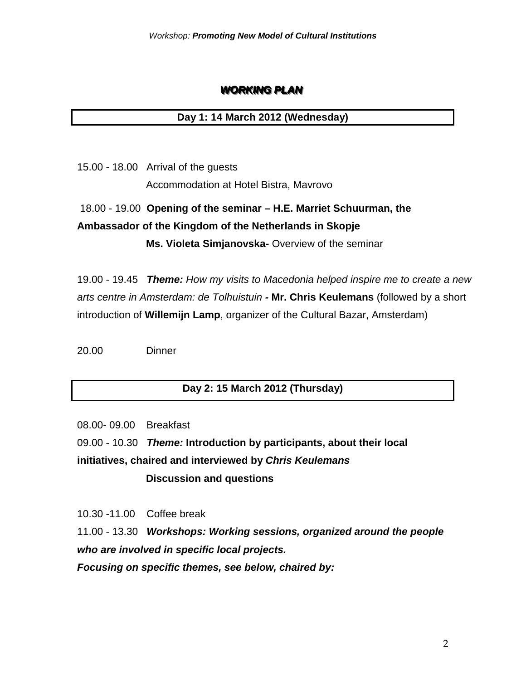## **WORKING PLAN**

### **Day 1: 14 March 2012 (Wednesday)**

15.00 - 18.00 Arrival of the guests Accommodation at Hotel Bistra, Mavrovo

# 18.00 - 19.00 **Opening of the seminar – H.E. Marriet Schuurman, the Ambassador of the Kingdom of the Netherlands in Skopje Ms. Violeta Simjanovska-** Overview of the seminar

19.00 - 19.45 **Theme:** How my visits to Macedonia helped inspire me to create a new arts centre in Amsterdam: de Tolhuistuin **- Mr. Chris Keulemans** (followed by a short introduction of **Willemijn Lamp**, organizer of the Cultural Bazar, Amsterdam)

20.00 Dinner

## **Day 2: 15 March 2012 (Thursday)**

08.00- 09.00 Breakfast

09.00 - 10.30 **Theme: Introduction by participants, about their local initiatives, chaired and interviewed by Chris Keulemans Discussion and questions** 

10.30 -11.00Coffee break

11.00 - 13.30 **Workshops: Working sessions, organized around the people who are involved in specific local projects.** 

**Focusing on specific themes, see below, chaired by:**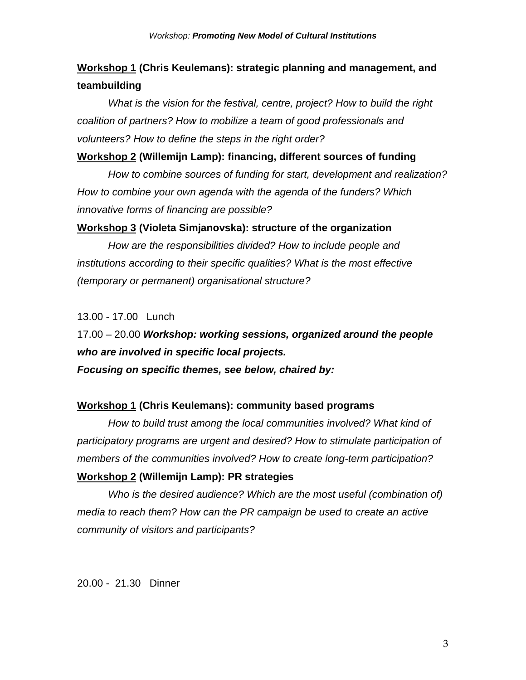## **Workshop 1 (Chris Keulemans): strategic planning and management, and teambuilding**

What is the vision for the festival, centre, project? How to build the right coalition of partners? How to mobilize a team of good professionals and volunteers? How to define the steps in the right order?

#### **Workshop 2 (Willemijn Lamp): financing, different sources of funding**

How to combine sources of funding for start, development and realization? How to combine your own agenda with the agenda of the funders? Which innovative forms of financing are possible?

#### **Workshop 3 (Violeta Simjanovska): structure of the organization**

How are the responsibilities divided? How to include people and institutions according to their specific qualities? What is the most effective (temporary or permanent) organisational structure?

13.00 - 17.00Lunch

17.00 – 20.00 **Workshop: working sessions, organized around the people who are involved in specific local projects. Focusing on specific themes, see below, chaired by:** 

#### **Workshop 1 (Chris Keulemans): community based programs**

How to build trust among the local communities involved? What kind of participatory programs are urgent and desired? How to stimulate participation of members of the communities involved? How to create long-term participation?

#### **Workshop 2 (Willemijn Lamp): PR strategies**

Who is the desired audience? Which are the most useful (combination of) media to reach them? How can the PR campaign be used to create an active community of visitors and participants?

20.00 - 21.30 Dinner